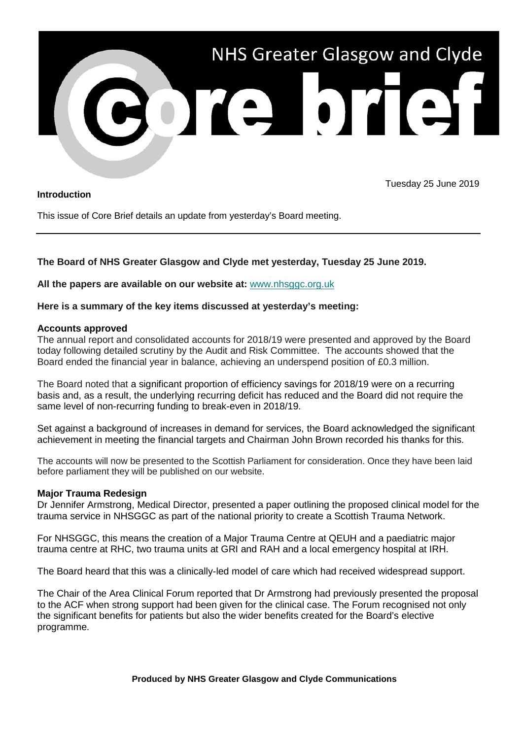

## **Introduction**

Tuesday 25 June 2019

This issue of Core Brief details an update from yesterday's Board meeting.

# **The Board of NHS Greater Glasgow and Clyde met yesterday, Tuesday 25 June 2019.**

**All the papers are available on our website at:** [www.nhsggc.org.uk](https://www.nhsggc.org.uk/about-us/nhsggc-board/board-meetings-papers-reports/papers/2019/)

**Here is a summary of the key items discussed at yesterday's meeting:**

#### **Accounts approved**

The annual report and consolidated accounts for 2018/19 were presented and approved by the Board today following detailed scrutiny by the Audit and Risk Committee. The accounts showed that the Board ended the financial year in balance, achieving an underspend position of £0.3 million.

The Board noted that a significant proportion of efficiency savings for 2018/19 were on a recurring basis and, as a result, the underlying recurring deficit has reduced and the Board did not require the same level of non-recurring funding to break-even in 2018/19.

Set against a background of increases in demand for services, the Board acknowledged the significant achievement in meeting the financial targets and Chairman John Brown recorded his thanks for this.

The accounts will now be presented to the Scottish Parliament for consideration. Once they have been laid before parliament they will be published on our website.

## **Major Trauma Redesign**

Dr Jennifer Armstrong, Medical Director, presented a paper outlining the proposed clinical model for the trauma service in NHSGGC as part of the national priority to create a Scottish Trauma Network.

For NHSGGC, this means the creation of a Major Trauma Centre at QEUH and a paediatric major trauma centre at RHC, two trauma units at GRI and RAH and a local emergency hospital at IRH.

The Board heard that this was a clinically-led model of care which had received widespread support.

The Chair of the Area Clinical Forum reported that Dr Armstrong had previously presented the proposal to the ACF when strong support had been given for the clinical case. The Forum recognised not only the significant benefits for patients but also the wider benefits created for the Board's elective programme.

**Produced by NHS Greater Glasgow and Clyde Communications**